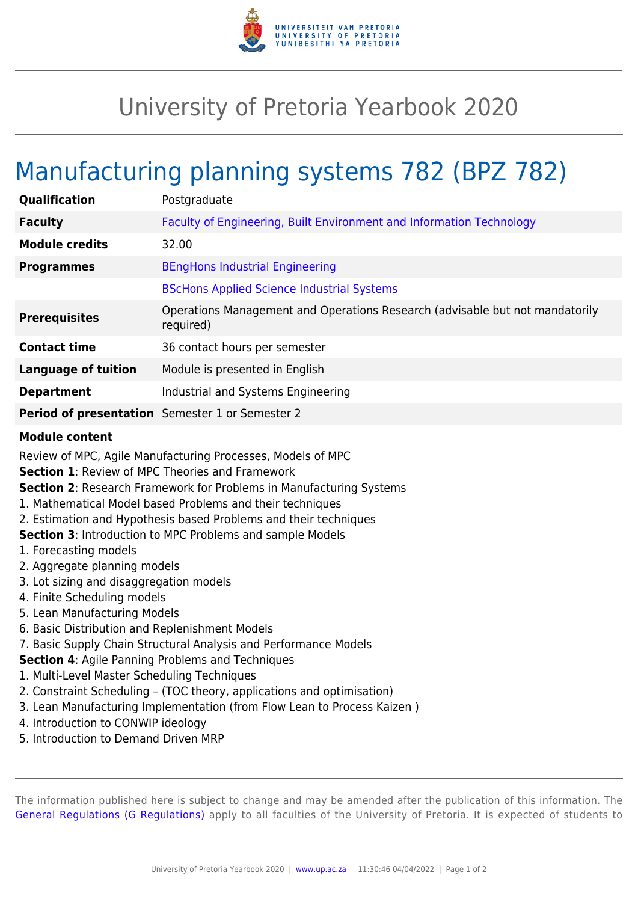

## University of Pretoria Yearbook 2020

## Manufacturing planning systems 782 (BPZ 782)

| <b>Qualification</b>       | Postgraduate                                                                              |
|----------------------------|-------------------------------------------------------------------------------------------|
| <b>Faculty</b>             | Faculty of Engineering, Built Environment and Information Technology                      |
| <b>Module credits</b>      | 32.00                                                                                     |
| <b>Programmes</b>          | <b>BEngHons Industrial Engineering</b>                                                    |
|                            | <b>BScHons Applied Science Industrial Systems</b>                                         |
| <b>Prerequisites</b>       | Operations Management and Operations Research (advisable but not mandatorily<br>required) |
| <b>Contact time</b>        | 36 contact hours per semester                                                             |
| <b>Language of tuition</b> | Module is presented in English                                                            |
| <b>Department</b>          | Industrial and Systems Engineering                                                        |
|                            | Period of presentation Semester 1 or Semester 2                                           |

## **Module content**

Review of MPC, Agile Manufacturing Processes, Models of MPC

**Section 1**: Review of MPC Theories and Framework

- **Section 2**: Research Framework for Problems in Manufacturing Systems
- 1. Mathematical Model based Problems and their techniques
- 2. Estimation and Hypothesis based Problems and their techniques

**Section 3**: Introduction to MPC Problems and sample Models

- 1. Forecasting models
- 2. Aggregate planning models
- 3. Lot sizing and disaggregation models
- 4. Finite Scheduling models
- 5. Lean Manufacturing Models
- 6. Basic Distribution and Replenishment Models
- 7. Basic Supply Chain Structural Analysis and Performance Models

**Section 4**: Agile Panning Problems and Techniques

- 1. Multi-Level Master Scheduling Techniques
- 2. Constraint Scheduling (TOC theory, applications and optimisation)
- 3. Lean Manufacturing Implementation (from Flow Lean to Process Kaizen )
- 4. Introduction to CONWIP ideology
- 5. Introduction to Demand Driven MRP

The information published here is subject to change and may be amended after the publication of this information. The [General Regulations \(G Regulations\)](https://www.up.ac.za/yearbooks/2020/rules/view/REG) apply to all faculties of the University of Pretoria. It is expected of students to